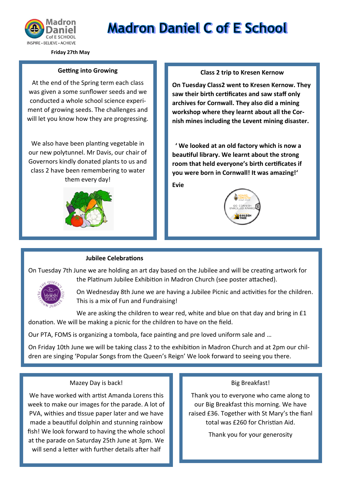

# **Madron Daniel C of E School**

**Friday 27th May**

#### **Getting into Growing**

At the end of the Spring term each class was given a some sunflower seeds and we conducted a whole school science experiment of growing seeds. The challenges and will let you know how they are progressing.

We also have been planting vegetable in our new polytunnel. Mr Davis, our chair of Governors kindly donated plants to us and class 2 have been remembering to water them every day!



#### **Class 2 trip to Kresen Kernow**

**On Tuesday Class2 went to Kresen Kernow. They saw their birth certificates and saw staff only archives for Cornwall. They also did a mining workshop where they learnt about all the Cornish mines including the Levent mining disaster.**

 **' We looked at an old factory which is now a beautiful library. We learnt about the strong room that held everyone's birth certificates if you were born in Cornwall! It was amazing!'**

**Evie** 



#### **Jubilee Celebrations**

On Tuesday 7th June we are holding an art day based on the Jubilee and will be creating artwork for the Platinum Jubilee Exhibition in Madron Church (see poster attached).



On Wednesday 8th June we are having a Jubilee Picnic and activities for the children. This is a mix of Fun and Fundraising!

We are asking the children to wear red, white and blue on that day and bring in £1 donation. We will be making a picnic for the children to have on the field.

Our PTA, FOMS is organizing a tombola, face painting and pre loved uniform sale and …

On Friday 10th June we will be taking class 2 to the exhibition in Madron Church and at 2pm our children are singing 'Popular Songs from the Queen's Reign' We look forward to seeing you there.

#### Mazey Day is back!

We have worked with artist Amanda Lorens this week to make our images for the parade. A lot of PVA, withies and tissue paper later and we have made a beautiful dolphin and stunning rainbow fish! We look forward to having the whole school at the parade on Saturday 25th June at 3pm. We will send a letter with further details after half

#### Big Breakfast!

Thank you to everyone who came along to our Big Breakfast this morning. We have raised £36. Together with St Mary's the fianl total was £260 for Christian Aid.

Thank you for your generosity